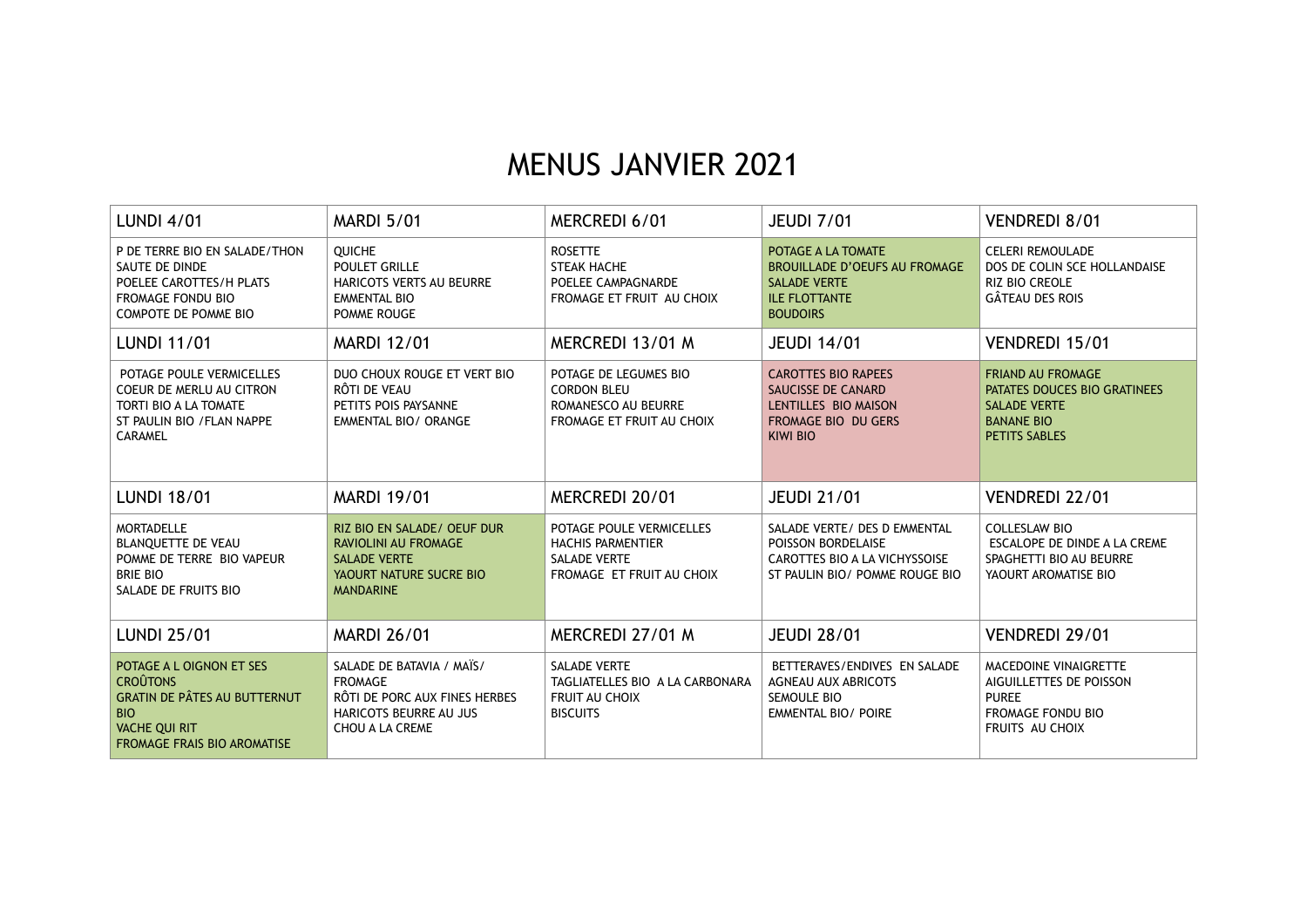## MENUS JANVIER 2021

| <b>LUNDI 4/01</b>                                                                                                                                              | <b>MARDI 5/01</b>                                                                                                                 | MERCREDI 6/01                                                                                            | <b>JEUDI 7/01</b>                                                                                                            | VENDREDI 8/01                                                                                                                |
|----------------------------------------------------------------------------------------------------------------------------------------------------------------|-----------------------------------------------------------------------------------------------------------------------------------|----------------------------------------------------------------------------------------------------------|------------------------------------------------------------------------------------------------------------------------------|------------------------------------------------------------------------------------------------------------------------------|
| P DE TERRE BIO EN SALADE/THON<br>SAUTE DE DINDE<br>POELEE CAROTTES/H PLATS<br><b>FROMAGE FONDU BIO</b><br><b>COMPOTE DE POMME BIO</b>                          | <b>OUICHE</b><br><b>POULET GRILLE</b><br><b>HARICOTS VERTS AU BEURRE</b><br><b>EMMENTAL BIO</b><br>POMME ROUGE                    | <b>ROSETTE</b><br><b>STEAK HACHE</b><br>POELEE CAMPAGNARDE<br>FROMAGE ET FRUIT AU CHOIX                  | POTAGE A LA TOMATE<br><b>BROUILLADE D'OEUFS AU FROMAGE</b><br><b>SALADE VERTE</b><br><b>ILE FLOTTANTE</b><br><b>BOUDOIRS</b> | <b>CELERI REMOULADE</b><br>DOS DE COLIN SCE HOLLANDAISE<br><b>RIZ BIO CREOLE</b><br><b>GÂTEAU DES ROIS</b>                   |
| <b>LUNDI 11/01</b>                                                                                                                                             | <b>MARDI 12/01</b>                                                                                                                | MERCREDI 13/01 M                                                                                         | <b>JEUDI 14/01</b>                                                                                                           | VENDREDI 15/01                                                                                                               |
| POTAGE POULE VERMICELLES<br>COEUR DE MERLU AU CITRON<br>TORTI BIO A LA TOMATE<br>ST PAULIN BIO / FLAN NAPPE<br>CARAMEL                                         | DUO CHOUX ROUGE ET VERT BIO<br>RÔTI DE VEAU<br>PETITS POIS PAYSANNE<br><b>EMMENTAL BIO/ ORANGE</b>                                | POTAGE DE LEGUMES BIO<br><b>CORDON BLEU</b><br>ROMANESCO AU BEURRE<br>FROMAGE ET FRUIT AU CHOIX          | <b>CAROTTES BIO RAPEES</b><br>SAUCISSE DE CANARD<br>LENTILLES BIO MAISON<br>FROMAGE BIO DU GERS<br><b>KIWI BIO</b>           | <b>FRIAND AU FROMAGE</b><br>PATATES DOUCES BIO GRATINEES<br><b>SALADE VERTE</b><br><b>BANANE BIO</b><br><b>PETITS SABLES</b> |
| <b>LUNDI 18/01</b>                                                                                                                                             | <b>MARDI 19/01</b>                                                                                                                | MERCREDI 20/01                                                                                           | <b>JEUDI 21/01</b>                                                                                                           | VENDREDI 22/01                                                                                                               |
| <b>MORTADELLE</b><br><b>BLANQUETTE DE VEAU</b><br>POMME DE TERRE BIO VAPEUR<br><b>BRIE BIO</b><br>SALADE DE FRUITS BIO                                         | RIZ BIO EN SALADE / OEUF DUR<br><b>RAVIOLINI AU FROMAGE</b><br><b>SALADE VERTE</b><br>YAOURT NATURE SUCRE BIO<br><b>MANDARINE</b> | POTAGE POULE VERMICELLES<br><b>HACHIS PARMENTIER</b><br><b>SALADE VERTE</b><br>FROMAGE ET FRUIT AU CHOIX | SALADE VERTE/ DES D EMMENTAL<br>POISSON BORDELAISE<br><b>CAROTTES BIO A LA VICHYSSOISE</b><br>ST PAULIN BIO/ POMME ROUGE BIO | <b>COLLESLAW BIO</b><br>ESCALOPE DE DINDE A LA CREME<br>SPAGHETTI BIO AU BEURRE<br>YAOURT AROMATISE BIO                      |
| <b>LUNDI 25/01</b>                                                                                                                                             | <b>MARDI 26/01</b>                                                                                                                | MERCREDI 27/01 M                                                                                         | <b>JEUDI 28/01</b>                                                                                                           | VENDREDI 29/01                                                                                                               |
| POTAGE A L OIGNON ET SES<br><b>CROÛTONS</b><br><b>GRATIN DE PÂTES AU BUTTERNUT</b><br><b>BIO</b><br><b>VACHE QUI RIT</b><br><b>FROMAGE FRAIS BIO AROMATISE</b> | SALADE DE BATAVIA / MAÏS/<br><b>FROMAGE</b><br>RÔTI DE PORC AUX FINES HERBES<br><b>HARICOTS BEURRE AU JUS</b><br>CHOU A LA CREME  | <b>SALADE VERTE</b><br>TAGLIATELLES BIO A LA CARBONARA<br>FRUIT AU CHOIX<br><b>BISCUITS</b>              | BETTERAVES/ENDIVES EN SALADE<br><b>AGNEAU AUX ABRICOTS</b><br>SEMOULE BIO<br><b>EMMENTAL BIO/ POIRE</b>                      | MACEDOINE VINAIGRETTE<br>AIGUILLETTES DE POISSON<br><b>PUREE</b><br><b>FROMAGE FONDU BIO</b><br>FRUITS AU CHOIX              |